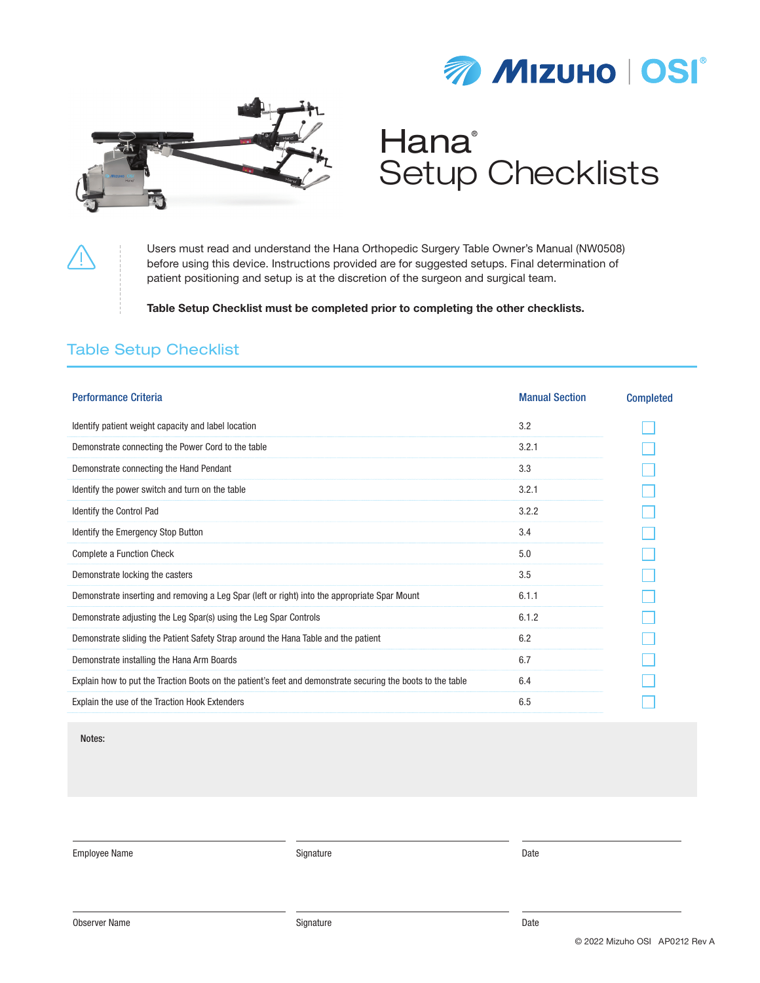



# **Hana**<sup>®</sup> Setup Checklists

Users must read and understand the Hana Orthopedic Surgery Table Owner's Manual (NW0508) before using this device. Instructions provided are for suggested setups. Final determination of patient positioning and setup is at the discretion of the surgeon and surgical team.

Table Setup Checklist must be completed prior to completing the other checklists.

#### Table Setup Checklist

| <b>Performance Criteria</b>                                                                                 | <b>Manual Section</b> | <b>Completed</b> |
|-------------------------------------------------------------------------------------------------------------|-----------------------|------------------|
| Identify patient weight capacity and label location                                                         | 3.2                   |                  |
| Demonstrate connecting the Power Cord to the table                                                          | 3.2.1                 |                  |
| Demonstrate connecting the Hand Pendant                                                                     | 3.3                   |                  |
| Identify the power switch and turn on the table                                                             | 3.2.1                 |                  |
| Identify the Control Pad                                                                                    | 3.2.2                 |                  |
| Identify the Emergency Stop Button                                                                          | 3.4                   |                  |
| Complete a Function Check                                                                                   | 5.0                   |                  |
| Demonstrate locking the casters                                                                             | 3.5                   |                  |
| Demonstrate inserting and removing a Leg Spar (left or right) into the appropriate Spar Mount               | 6.1.1                 |                  |
| Demonstrate adjusting the Leg Spar(s) using the Leg Spar Controls                                           | 6.1.2                 |                  |
| Demonstrate sliding the Patient Safety Strap around the Hana Table and the patient                          | 6.2                   |                  |
| Demonstrate installing the Hana Arm Boards                                                                  | 6.7                   |                  |
| Explain how to put the Traction Boots on the patient's feet and demonstrate securing the boots to the table | 6.4                   |                  |
| Explain the use of the Traction Hook Extenders                                                              | 6.5                   |                  |

Notes:

Employee Name Date Controllers and the Signature Signature Controllers and Date Date Date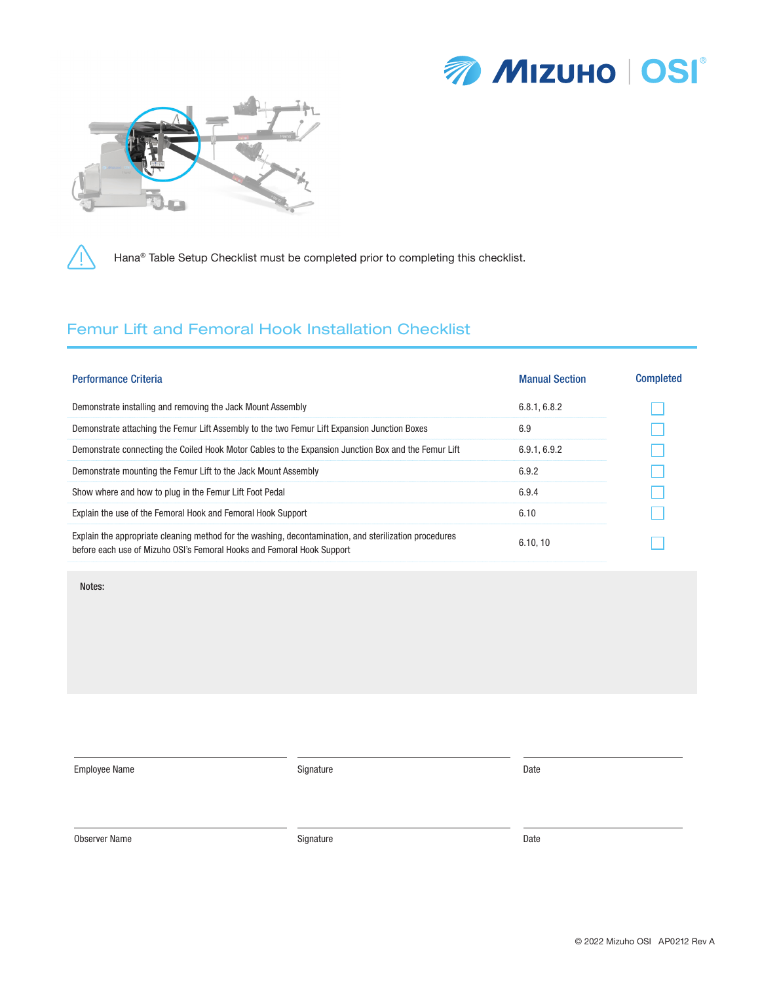



Hana® Table Setup Checklist must be completed prior to completing this checklist.

## Femur Lift and Femoral Hook Installation Checklist

| <b>Performance Criteria</b>                                                                                                                                                      | <b>Manual Section</b> | <b>Completed</b> |
|----------------------------------------------------------------------------------------------------------------------------------------------------------------------------------|-----------------------|------------------|
| Demonstrate installing and removing the Jack Mount Assembly                                                                                                                      | 6.8.1, 6.8.2          |                  |
| Demonstrate attaching the Femur Lift Assembly to the two Femur Lift Expansion Junction Boxes                                                                                     | 6.9                   |                  |
| Demonstrate connecting the Coiled Hook Motor Cables to the Expansion Junction Box and the Femur Lift                                                                             | 6.9.1, 6.9.2          |                  |
| Demonstrate mounting the Femur Lift to the Jack Mount Assembly                                                                                                                   | 6.9.2                 |                  |
| Show where and how to plug in the Femur Lift Foot Pedal                                                                                                                          | 6.9.4                 |                  |
| Explain the use of the Femoral Hook and Femoral Hook Support                                                                                                                     | 6.10                  |                  |
| Explain the appropriate cleaning method for the washing, decontamination, and sterilization procedures<br>before each use of Mizuho OSI's Femoral Hooks and Femoral Hook Support | 6.10.10               |                  |

Notes:

Employee Name Date Controllers and Signature Signature Controllers and Date Date Date

Observer Name **Signature Constant Constant Constant Constant Constant Constant Constant Constant Constant Constant Constant Constant Constant Constant Constant Constant Constant Constant Constant Constant Constant Consta**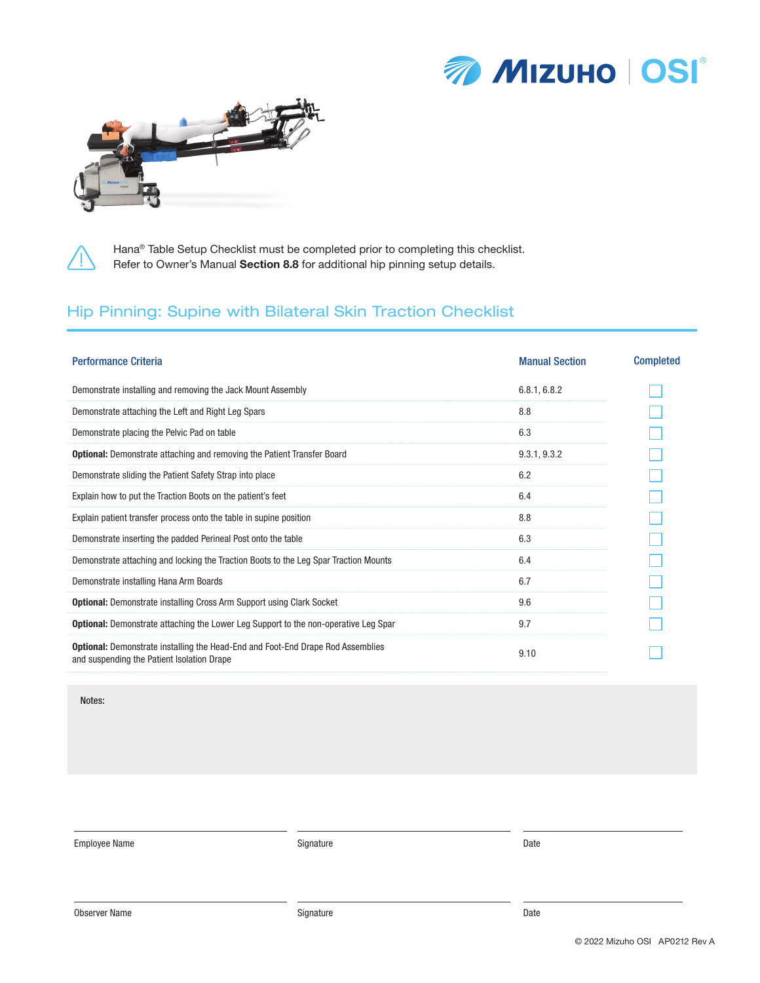



Hana® Table Setup Checklist must be completed prior to completing this checklist.

Refer to Owner's Manual Section 8.8 for additional hip pinning setup details.

## Hip Pinning: Supine with Bilateral Skin Traction Checklist

| <b>Performance Criteria</b>                                                                                                          | <b>Manual Section</b> | <b>Completed</b> |
|--------------------------------------------------------------------------------------------------------------------------------------|-----------------------|------------------|
| Demonstrate installing and removing the Jack Mount Assembly                                                                          | 6.8.1, 6.8.2          |                  |
| Demonstrate attaching the Left and Right Leg Spars                                                                                   | 8.8                   |                  |
| Demonstrate placing the Pelvic Pad on table                                                                                          | 6.3                   |                  |
| <b>Optional:</b> Demonstrate attaching and removing the Patient Transfer Board                                                       | 9.3.1, 9.3.2          |                  |
| Demonstrate sliding the Patient Safety Strap into place                                                                              | 6.2                   |                  |
| Explain how to put the Traction Boots on the patient's feet                                                                          | 6.4                   |                  |
| Explain patient transfer process onto the table in supine position                                                                   | 8.8                   |                  |
| Demonstrate inserting the padded Perineal Post onto the table                                                                        | 6.3                   |                  |
| Demonstrate attaching and locking the Traction Boots to the Leg Spar Traction Mounts                                                 | 6.4                   |                  |
| Demonstrate installing Hana Arm Boards                                                                                               | 6.7                   |                  |
| <b>Optional:</b> Demonstrate installing Cross Arm Support using Clark Socket                                                         | 9.6                   |                  |
| <b>Optional:</b> Demonstrate attaching the Lower Leg Support to the non-operative Leg Spar                                           | 9.7                   |                  |
| <b>Optional:</b> Demonstrate installing the Head-End and Foot-End Drape Rod Assemblies<br>and suspending the Patient Isolation Drape | 9.10                  |                  |

Notes:

Employee Name Date Controllers and Signature Signature Controllers and Date Date Date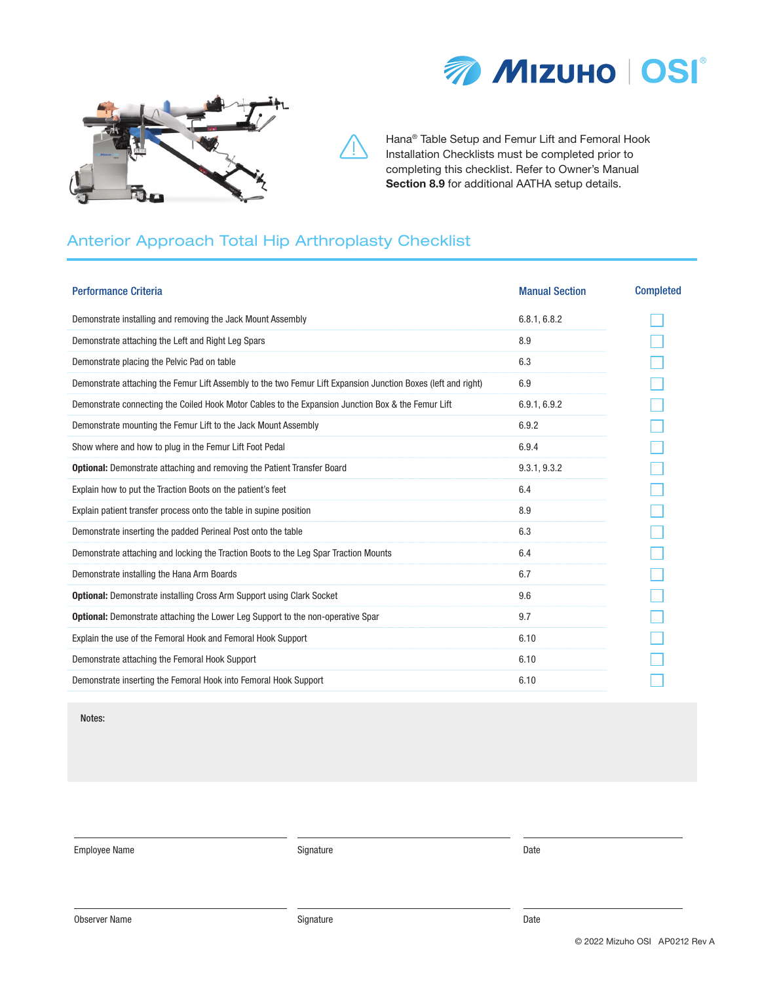



Hana® Table Setup and Femur Lift and Femoral Hook Installation Checklists must be completed prior to completing this checklist. Refer to Owner's Manual Section 8.9 for additional AATHA setup details.

## Anterior Approach Total Hip Arthroplasty Checklist

| <b>Performance Criteria</b>                                                                                   | <b>Manual Section</b> | <b>Completed</b> |
|---------------------------------------------------------------------------------------------------------------|-----------------------|------------------|
| Demonstrate installing and removing the Jack Mount Assembly                                                   | 6.8.1, 6.8.2          |                  |
| Demonstrate attaching the Left and Right Leg Spars                                                            | 8.9                   |                  |
| Demonstrate placing the Pelvic Pad on table                                                                   | 6.3                   |                  |
| Demonstrate attaching the Femur Lift Assembly to the two Femur Lift Expansion Junction Boxes (left and right) | 6.9                   |                  |
| Demonstrate connecting the Coiled Hook Motor Cables to the Expansion Junction Box & the Femur Lift            | 6.9.1, 6.9.2          |                  |
| Demonstrate mounting the Femur Lift to the Jack Mount Assembly                                                | 6.9.2                 |                  |
| Show where and how to plug in the Femur Lift Foot Pedal                                                       | 6.9.4                 |                  |
| <b>Optional:</b> Demonstrate attaching and removing the Patient Transfer Board                                | 9.3.1, 9.3.2          |                  |
| Explain how to put the Traction Boots on the patient's feet                                                   | 6.4                   |                  |
| Explain patient transfer process onto the table in supine position                                            | 8.9                   |                  |
| Demonstrate inserting the padded Perineal Post onto the table                                                 | 6.3                   |                  |
| Demonstrate attaching and locking the Traction Boots to the Leg Spar Traction Mounts                          | 6.4                   |                  |
| Demonstrate installing the Hana Arm Boards                                                                    | 6.7                   |                  |
| <b>Optional:</b> Demonstrate installing Cross Arm Support using Clark Socket                                  | 9.6                   |                  |
| <b>Optional:</b> Demonstrate attaching the Lower Leg Support to the non-operative Spar                        | 9.7                   |                  |
| Explain the use of the Femoral Hook and Femoral Hook Support                                                  | 6.10                  |                  |
| Demonstrate attaching the Femoral Hook Support                                                                | 6.10                  |                  |
| Demonstrate inserting the Femoral Hook into Femoral Hook Support                                              | 6.10                  |                  |

Notes:

Employee Name Date Controllers and Signature Signature Controllers and Date Date Date